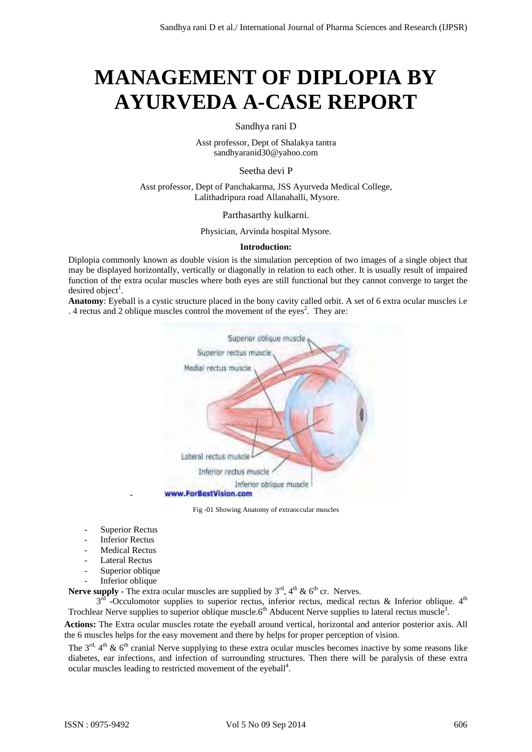# **MANAGEMENT OF DIPLOPIA BY AYURVEDA A-CASE REPORT**

Sandhya rani D

Asst professor, Dept of Shalakya tantra sandhyaranid30@yahoo.com

Seetha devi P

Asst professor, Dept of Panchakarma, JSS Ayurveda Medical College, Lalithadripura road Allanahalli, Mysore.

Parthasarthy kulkarni.

Physician, Arvinda hospital Mysore.

#### **Introduction:**

Diplopia commonly known as double vision is the simulation perception of two images of a single object that may be displayed horizontally, vertically or diagonally in relation to each other. It is usually result of impaired function of the extra ocular muscles where both eyes are still functional but they cannot converge to target the desired object<sup>1</sup>.

**Anatomy**: Eyeball is a cystic structure placed in the bony cavity called orbit. A set of 6 extra ocular muscles i.e . 4 rectus and 2 oblique muscles control the movement of the eyes<sup>2</sup>. They are:



Fig -01 Showing Anatomy of extraoccular muscles

Superior Rectus

-

- Inferior Rectus
- Medical Rectus
- Lateral Rectus
- Superior oblique
- Inferior oblique

**Nerve supply** - The extra ocular muscles are supplied by  $3^{rd}$ ,  $4^{th}$  &  $6^{th}$  cr. Nerves.

 $3^{\overline{\text{rd}}}$  -Occulomotor supplies to superior rectus, inferior rectus, medical rectus & Inferior oblique.  $4^{\text{th}}$ Trochlear Nerve supplies to superior oblique muscle. $6<sup>th</sup>$  Abducent Nerve supplies to lateral rectus muscle<sup>3</sup>.

**Actions:** The Extra ocular muscles rotate the eyeball around vertical, horizontal and anterior posterior axis. All the 6 muscles helps for the easy movement and there by helps for proper perception of vision.

The  $3<sup>rd</sup>$ ,  $4<sup>th</sup>$  &  $6<sup>th</sup>$  cranial Nerve supplying to these extra ocular muscles becomes inactive by some reasons like diabetes, ear infections, and infection of surrounding structures. Then there will be paralysis of these extra ocular muscles leading to restricted movement of the eyeball<sup>4</sup>.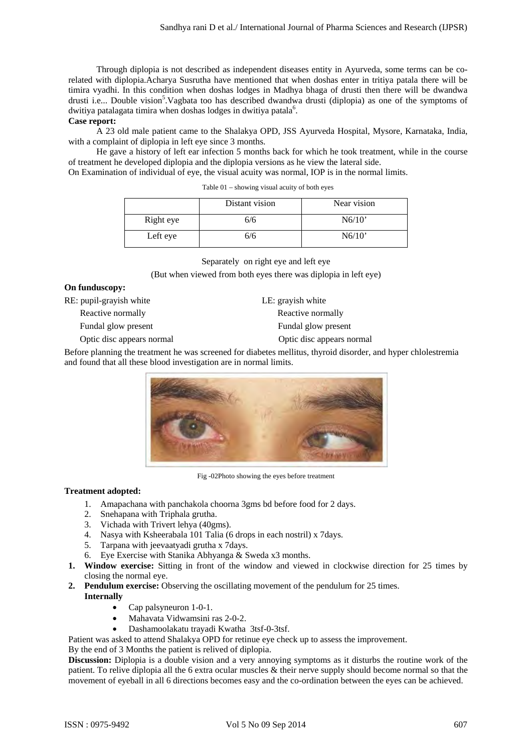Through diplopia is not described as independent diseases entity in Ayurveda, some terms can be corelated with diplopia.Acharya Susrutha have mentioned that when doshas enter in tritiya patala there will be timira vyadhi. In this condition when doshas lodges in Madhya bhaga of drusti then there will be dwandwa drusti i.e... Double vision<sup>5</sup>. Vagbata too has described dwandwa drusti (diplopia) as one of the symptoms of dwitiya patalagata timira when doshas lodges in dwitiya patala<sup>6</sup>.

# **Case report:**

A 23 old male patient came to the Shalakya OPD, JSS Ayurveda Hospital, Mysore, Karnataka, India, with a complaint of diplopia in left eye since 3 months.

He gave a history of left ear infection 5 months back for which he took treatment, while in the course of treatment he developed diplopia and the diplopia versions as he view the lateral side.

On Examination of individual of eye, the visual acuity was normal, IOP is in the normal limits.

|           | Distant vision | Near vision |
|-----------|----------------|-------------|
| Right eye | 6/6            | N6/10'      |
| Left eye  | 6/6            | N6/10'      |

Separately on right eye and left eye

(But when viewed from both eyes there was diplopia in left eye)

# **On funduscopy:**

RE: pupil-grayish white LE: grayish white

Fundal glow present Fundal glow present

Optic disc appears normal Optic disc appears normal

Reactive normally Reactive normally

Before planning the treatment he was screened for diabetes mellitus, thyroid disorder, and hyper chlolestremia and found that all these blood investigation are in normal limits.



Fig -02Photo showing the eyes before treatment

# **Treatment adopted:**

- 1. Amapachana with panchakola choorna 3gms bd before food for 2 days.
- 2. Snehapana with Triphala grutha.
- 3. Vichada with Trivert lehya (40gms).
- 4. Nasya with Ksheerabala 101 Talia (6 drops in each nostril) x 7days.
- 5. Tarpana with jeevaatyadi grutha x 7days.
- 6. Eye Exercise with Stanika Abhyanga & Sweda x3 months.
- **1. Window exercise:** Sitting in front of the window and viewed in clockwise direction for 25 times by closing the normal eye.
- **2. Pendulum exercise:** Observing the oscillating movement of the pendulum for 25 times. **Internally** 
	- Cap palsyneuron 1-0-1.
		- Mahavata Vidwamsini ras 2-0-2.
		- Dashamoolakatu trayadi Kwatha 3tsf-0-3tsf.

Patient was asked to attend Shalakya OPD for retinue eye check up to assess the improvement.

By the end of 3 Months the patient is relived of diplopia.

**Discussion:** Diplopia is a double vision and a very annoying symptoms as it disturbs the routine work of the patient. To relive diplopia all the 6 extra ocular muscles & their nerve supply should become normal so that the movement of eyeball in all 6 directions becomes easy and the co-ordination between the eyes can be achieved.